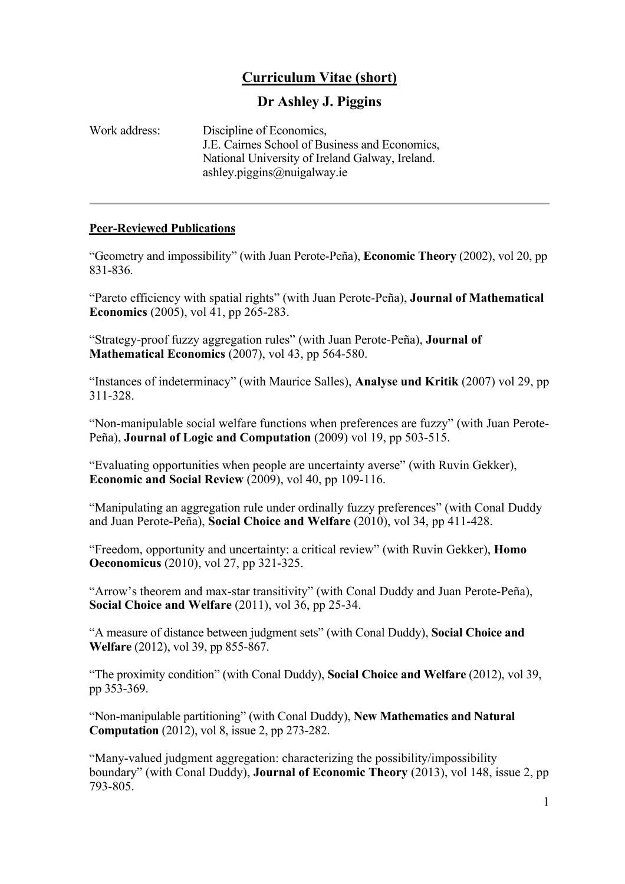# **Curriculum Vitae (short)**

## **Dr Ashley J. Piggins**

| Work address: | Discipline of Economics,<br>J.E. Cairnes School of Business and Economics, |
|---------------|----------------------------------------------------------------------------|
|               | National University of Ireland Galway, Ireland.                            |
|               | ashley.piggins@nuigalway.ie                                                |

## **Peer-Reviewed Publications**

"Geometry and impossibility" (with Juan Perote-Peña), **Economic Theory** (2002), vol 20, pp 831-836.

"Pareto efficiency with spatial rights" (with Juan Perote-Peña), **Journal of Mathematical Economics** (2005), vol 41, pp 265-283.

"Strategy-proof fuzzy aggregation rules" (with Juan Perote-Peña), **Journal of Mathematical Economics** (2007), vol 43, pp 564-580.

"Instances of indeterminacy" (with Maurice Salles), **Analyse und Kritik** (2007) vol 29, pp 311-328.

"Non-manipulable social welfare functions when preferences are fuzzy" (with Juan Perote-Peña), **Journal of Logic and Computation** (2009) vol 19, pp 503-515.

"Evaluating opportunities when people are uncertainty averse" (with Ruvin Gekker), **Economic and Social Review** (2009), vol 40, pp 109-116.

"Manipulating an aggregation rule under ordinally fuzzy preferences" (with Conal Duddy and Juan Perote-Peña), **Social Choice and Welfare** (2010), vol 34, pp 411-428.

"Freedom, opportunity and uncertainty: a critical review" (with Ruvin Gekker), **Homo Oeconomicus** (2010), vol 27, pp 321-325.

"Arrow's theorem and max-star transitivity" (with Conal Duddy and Juan Perote-Peña), **Social Choice and Welfare** (2011), vol 36, pp 25-34.

"A measure of distance between judgment sets" (with Conal Duddy), **Social Choice and Welfare** (2012), vol 39, pp 855-867.

"The proximity condition" (with Conal Duddy), **Social Choice and Welfare** (2012), vol 39, pp 353-369.

"Non-manipulable partitioning" (with Conal Duddy), **New Mathematics and Natural Computation** (2012), vol 8, issue 2, pp 273-282.

"Many-valued judgment aggregation: characterizing the possibility/impossibility boundary" (with Conal Duddy), **Journal of Economic Theory** (2013), vol 148, issue 2, pp 793-805.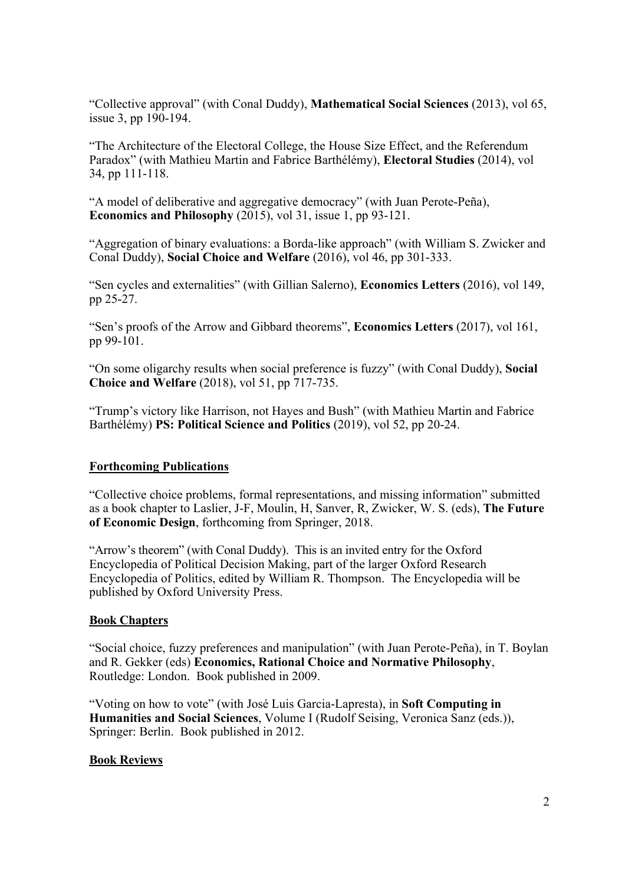"Collective approval" (with Conal Duddy), **Mathematical Social Sciences** (2013), vol 65, issue 3, pp 190-194.

"The Architecture of the Electoral College, the House Size Effect, and the Referendum Paradox" (with Mathieu Martin and Fabrice Barthélémy), **Electoral Studies** (2014), vol 34, pp 111-118.

"A model of deliberative and aggregative democracy" (with Juan Perote-Peña), **Economics and Philosophy** (2015), vol 31, issue 1, pp 93-121.

"Aggregation of binary evaluations: a Borda-like approach" (with William S. Zwicker and Conal Duddy), **Social Choice and Welfare** (2016), vol 46, pp 301-333.

"Sen cycles and externalities" (with Gillian Salerno), **Economics Letters** (2016), vol 149, pp 25-27.

"Sen's proofs of the Arrow and Gibbard theorems", **Economics Letters** (2017), vol 161, pp 99-101.

"On some oligarchy results when social preference is fuzzy" (with Conal Duddy), **Social Choice and Welfare** (2018), vol 51, pp 717-735.

"Trump's victory like Harrison, not Hayes and Bush" (with Mathieu Martin and Fabrice Barthélémy) **PS: Political Science and Politics** (2019), vol 52, pp 20-24.

## **Forthcoming Publications**

"Collective choice problems, formal representations, and missing information" submitted as a book chapter to Laslier, J-F, Moulin, H, Sanver, R, Zwicker, W. S. (eds), **The Future of Economic Design**, forthcoming from Springer, 2018.

"Arrow's theorem" (with Conal Duddy). This is an invited entry for the Oxford Encyclopedia of Political Decision Making, part of the larger Oxford Research Encyclopedia of Politics, edited by William R. Thompson. The Encyclopedia will be published by Oxford University Press.

## **Book Chapters**

"Social choice, fuzzy preferences and manipulation" (with Juan Perote-Peña), in T. Boylan and R. Gekker (eds) **Economics, Rational Choice and Normative Philosophy**, Routledge: London. Book published in 2009.

"Voting on how to vote" (with José Luis Garcia-Lapresta), in **Soft Computing in Humanities and Social Sciences**, Volume I (Rudolf Seising, Veronica Sanz (eds.)), Springer: Berlin. Book published in 2012.

## **Book Reviews**